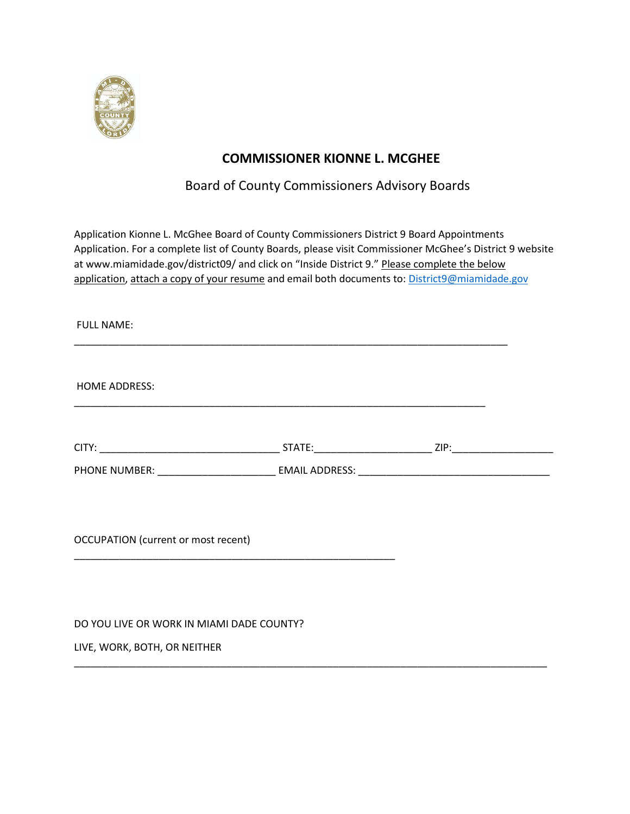

## **COMMISSIONER KIONNE L. MCGHEE**

## Board of County Commissioners Advisory Boards

Application Kionne L. McGhee Board of County Commissioners District 9 Board Appointments Application. For a complete list of County Boards, please visit Commissioner McGhee's District 9 website at www.miamidade.gov/district09/ and click on "Inside District 9." Please complete the below application, attach a copy of your resume and email both documents to: [District9@miamidade.gov](mailto:District9@miamidade.gov)

| <b>FULL NAME:</b>                                                                                                                                                   |  |
|---------------------------------------------------------------------------------------------------------------------------------------------------------------------|--|
| <b>HOME ADDRESS:</b>                                                                                                                                                |  |
|                                                                                                                                                                     |  |
|                                                                                                                                                                     |  |
|                                                                                                                                                                     |  |
| <b>OCCUPATION</b> (current or most recent)<br><u> 1989 - Johann Stoff, deutscher Stoff, der Stoff, der Stoff, der Stoff, der Stoff, der Stoff, der Stoff, der S</u> |  |
|                                                                                                                                                                     |  |
| DO YOU LIVE OR WORK IN MIAMI DADE COUNTY?                                                                                                                           |  |

\_\_\_\_\_\_\_\_\_\_\_\_\_\_\_\_\_\_\_\_\_\_\_\_\_\_\_\_\_\_\_\_\_\_\_\_\_\_\_\_\_\_\_\_\_\_\_\_\_\_\_\_\_\_\_\_\_\_\_\_\_\_\_\_\_\_\_\_\_\_\_\_\_\_\_\_\_\_\_\_\_\_\_\_

LIVE, WORK, BOTH, OR NEITHER